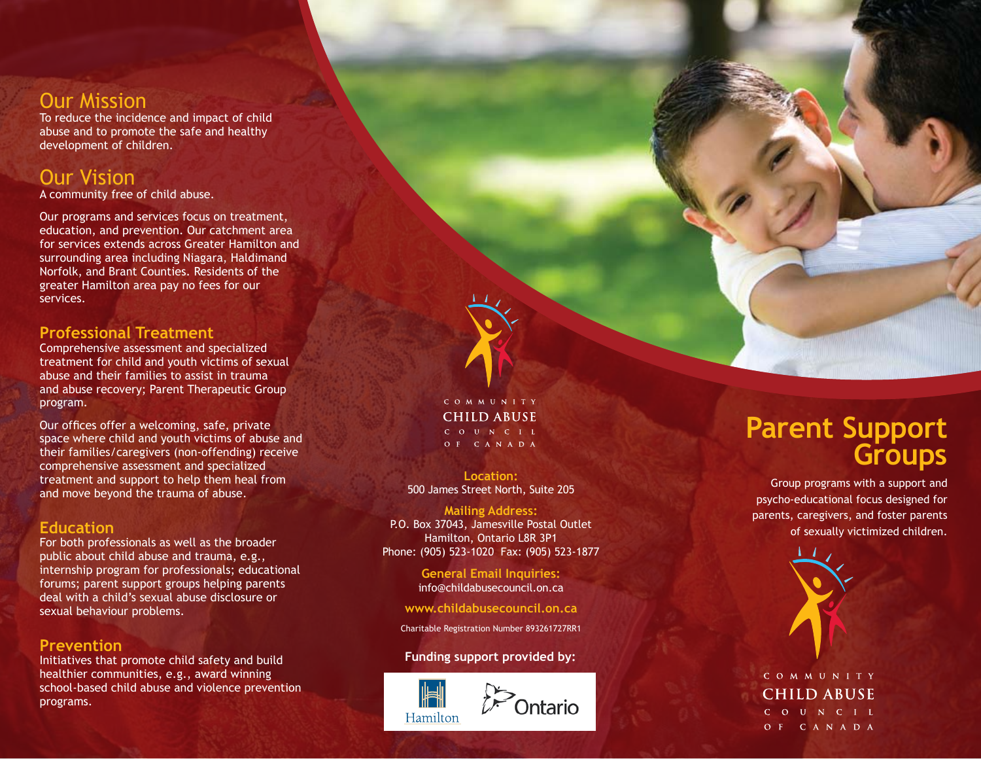### Our Mission

To reduce the incidence and impact of child abuse and to promote the safe and healthy development of children.

## Our Vision

A community free of child abuse.

Our programs and services focus on treatment, education, and prevention. Our catchment area for services extends across Greater Hamilton and surrounding area including Niagara, Haldimand Norfolk, and Brant Counties. Residents of the greater Hamilton area pay no fees for our services.

### **Professional Treatment**

Comprehensive assessment and specialized treatment for child and youth victims of sexual abuse and their families to assist in trauma and abuse recovery; Parent Therapeutic Group program.

Our offices offer a welcoming, safe, private space where child and youth victims of abuse and their families/caregivers (non-offending) receive comprehensive assessment and specialized treatment and support to help them heal from and move beyond the trauma of abuse.

### **Education**

For both professionals as well as the broader public about child abuse and trauma, e.g., internship program for professionals; educational forums; parent support groups helping parents deal with a child's sexual abuse disclosure or sexual behaviour problems.

### **Prevention**

Initiatives that promote child safety and build healthier communities, e.g., award winning school-based child abuse and violence prevention programs.

#### COMMUNITY **CHILD ABUSE** C O U N C I L OF CANADA

**Location:** 500 James Street North, Suite 205

**Mailing Address:** P.O. Box 37043, Jamesville Postal Outlet Hamilton, Ontario L8R 3P1 Phone: (905) 523-1020 Fax: (905) 523-1877

> **General Email Inquiries:** info@childabusecouncil.on.ca

**www.childabusecouncil.on.ca**

Charitable Registration Number 893261727RR1

### **Funding support provided by:**



## **Parent Support Groups**

Group programs with a support and psycho-educational focus designed for parents, caregivers, and foster parents of sexually victimized children.



### COMMUNITY **CHILD ABUSE** C O U N C I L OF CANADA